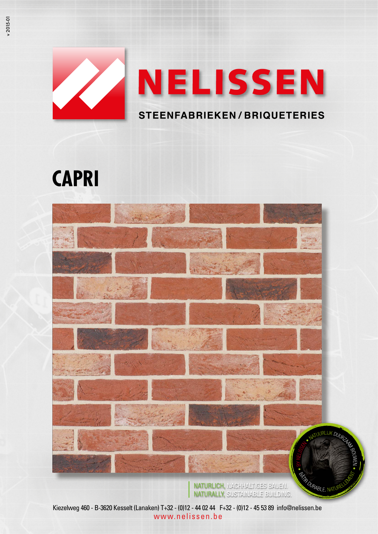

# **CAPRI**



NATURLICH, NACHHALTIGES BAUEN. NATURALLY, SUSTAINABLE BUILDING.

Kiezelweg 460 - B-3620 Kesselt (Lanaken) T+32 - (0)12 - 44 02 44 F+32 - (0)12 - 45 53 89 info@nelissen.be www.nelissen.be